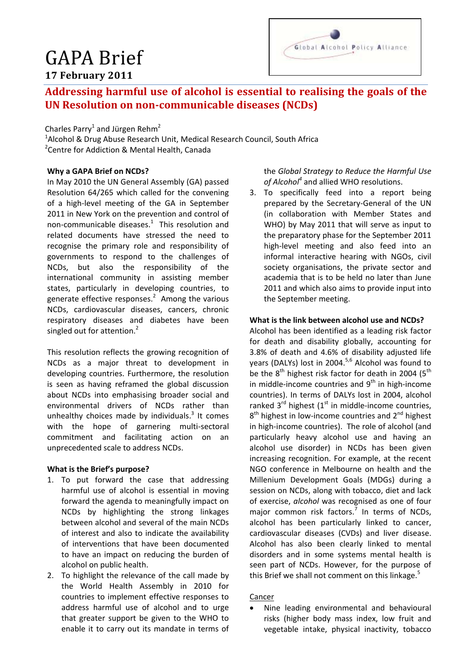# GAPA Brief **17 February 2011**



# **Addressing harmful use of alcohol is essential to realising the goals of the UN Resolution on non-communicable diseases (NCDs)**

Charles Parry<sup>1</sup> and Jürgen Rehm<sup>2</sup>

<sup>1</sup>Alcohol & Drug Abuse Research Unit, Medical Research Council, South Africa <sup>2</sup> Centre for Addiction & Mental Health, Canada

# **Why a GAPA Brief on NCDs?**

In May 2010 the UN General Assembly (GA) passed Resolution 64/265 which called for the convening of a high-level meeting of the GA in September 2011 in New York on the prevention and control of non-communicable diseases. $1$  This resolution and related documents have stressed the need to recognise the primary role and responsibility of governments to respond to the challenges of NCDs, but also the responsibility of the international community in assisting member states, particularly in developing countries, to generate effective responses. $2$  Among the various NCDs, cardiovascular diseases, cancers, chronic respiratory diseases and diabetes have been singled out for attention.<sup>2</sup>

This resolution reflects the growing recognition of NCDs as a major threat to development in developing countries. Furthermore, the resolution is seen as having reframed the global discussion about NCDs into emphasising broader social and environmental drivers of NCDs rather than unhealthy choices made by individuals.<sup>3</sup> It comes with the hope of garnering multi-sectoral commitment and facilitating action on an unprecedented scale to address NCDs.

## **What is the Brief's purpose?**

- 1. To put forward the case that addressing harmful use of alcohol is essential in moving forward the agenda to meaningfully impact on NCDs by highlighting the strong linkages between alcohol and several of the main NCDs of interest and also to indicate the availability of interventions that have been documented to have an impact on reducing the burden of alcohol on public health.
- 2. To highlight the relevance of the call made by the World Health Assembly in 2010 for countries to implement effective responses to address harmful use of alcohol and to urge that greater support be given to the WHO to enable it to carry out its mandate in terms of

the *Global Strategy to Reduce the Harmful Use of Alcohol<sup>4</sup>* and allied WHO resolutions.

3. To specifically feed into a report being prepared by the Secretary-General of the UN (in collaboration with Member States and WHO) by May 2011 that will serve as input to the preparatory phase for the September 2011 high-level meeting and also feed into an informal interactive hearing with NGOs, civil society organisations, the private sector and academia that is to be held no later than June 2011 and which also aims to provide input into the September meeting.

## **What is the link between alcohol use and NCDs?**

Alcohol has been identified as a leading risk factor for death and disability globally, accounting for 3.8% of death and 4.6% of disability adjusted life years (DALYs) lost in 2004.<sup>5,6</sup> Alcohol was found to be the  $8<sup>th</sup>$  highest risk factor for death in 2004 ( $5<sup>th</sup>$ in middle-income countries and  $9<sup>th</sup>$  in high-income countries). In terms of DALYs lost in 2004, alcohol ranked  $3^{rd}$  highest ( $1^{st}$  in middle-income countries, 8<sup>th</sup> highest in low-income countries and 2<sup>nd</sup> highest in high-income countries). The role of alcohol (and particularly heavy alcohol use and having an alcohol use disorder) in NCDs has been given increasing recognition. For example, at the recent NGO conference in Melbourne on health and the Millenium Development Goals (MDGs) during a session on NCDs, along with tobacco, diet and lack of exercise, *alcohol* was recognised as one of four major common risk factors.<sup>7</sup> In terms of NCDs, alcohol has been particularly linked to cancer, cardiovascular diseases (CVDs) and liver disease. Alcohol has also been clearly linked to mental disorders and in some systems mental health is seen part of NCDs. However, for the purpose of this Brief we shall not comment on this linkage.<sup>5</sup>

## Cancer

 Nine leading environmental and behavioural risks (higher body mass index, low fruit and vegetable intake, physical inactivity, tobacco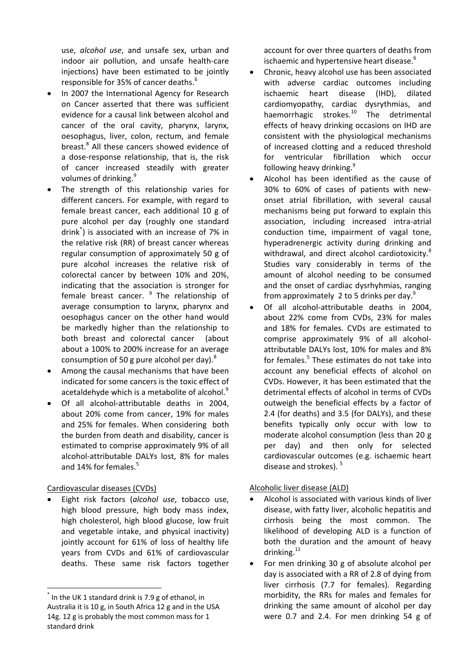use, *alcohol use*, and unsafe sex, urban and indoor air pollution, and unsafe health-care injections) have been estimated to be jointly responsible for 35% of cancer deaths.<sup>6</sup>

- In 2007 the International Agency for Research on Cancer asserted that there was sufficient evidence for a causal link between alcohol and cancer of the oral cavity, pharynx, larynx, oesophagus, liver, colon, rectum, and female breast. 8 All these cancers showed evidence of a dose-response relationship, that is, the risk of cancer increased steadily with greater volumes of drinking.<sup>9</sup>
- The strength of this relationship varies for different cancers. For example, with regard to female breast cancer, each additional 10 g of pure alcohol per day (roughly one standard drink\* ) is associated with an increase of 7% in the relative risk (RR) of breast cancer whereas regular consumption of approximately 50 g of pure alcohol increases the relative risk of colorectal cancer by between 10% and 20%, indicating that the association is stronger for female breast cancer. <sup>9</sup> The relationship of average consumption to larynx, pharynx and oesophagus cancer on the other hand would be markedly higher than the relationship to both breast and colorectal cancer (about about a 100% to 200% increase for an average consumption of 50 g pure alcohol per day). $8$
- Among the causal mechanisms that have been indicated for some cancers is the toxic effect of acetaldehyde which is a metabolite of alcohol.<sup>9</sup>
- Of all alcohol-attributable deaths in 2004, about 20% come from cancer, 19% for males and 25% for females. When considering both the burden from death and disability, cancer is estimated to comprise approximately 9% of all alcohol-attributable DALYs lost, 8% for males and 14% for females. 5

# Cardiovascular diseases (CVDs)

1

 Eight risk factors (*alcohol use*, tobacco use, high blood pressure, high body mass index, high cholesterol, high blood glucose, low fruit and vegetable intake, and physical inactivity) jointly account for 61% of loss of healthy life years from CVDs and 61% of cardiovascular deaths. These same risk factors together

account for over three quarters of deaths from ischaemic and hypertensive heart disease.<sup>6</sup>

- Chronic, heavy alcohol use has been associated with adverse cardiac outcomes including ischaemic heart disease (IHD), dilated cardiomyopathy, cardiac dysrythmias, and haemorrhagic strokes. <sup>10</sup> The detrimental effects of heavy drinking occasions on IHD are consistent with the physiological mechanisms of increased clotting and a reduced threshold for ventricular fibrillation which occur following heavy drinking.<sup>9</sup>
- Alcohol has been identified as the cause of 30% to 60% of cases of patients with newonset atrial fibrillation, with several causal mechanisms being put forward to explain this association, including increased intra-atrial conduction time, impairment of vagal tone, hyperadrenergic activity during drinking and withdrawal, and direct alcohol cardiotoxicity.<sup>8</sup> Studies vary considerably in terms of the amount of alcohol needing to be consumed and the onset of cardiac dysrhyhmias, ranging from approximately 2 to 5 drinks per day.<sup>9</sup>
- Of all alcohol-attributable deaths in 2004, about 22% come from CVDs, 23% for males and 18% for females. CVDs are estimated to comprise approximately 9% of all alcoholattributable DALYs lost, 10% for males and 8% for females. 5 These estimates do not take into account any beneficial effects of alcohol on CVDs. However, it has been estimated that the detrimental effects of alcohol in terms of CVDs outweigh the beneficial effects by a factor of 2.4 (for deaths) and 3.5 (for DALYs), and these benefits typically only occur with low to moderate alcohol consumption (less than 20 g per day) and then only for selected cardiovascular outcomes (e.g. ischaemic heart disease and strokes).<sup>5</sup>

# Alcoholic liver disease (ALD)

- Alcohol is associated with various kinds of liver disease, with fatty liver, alcoholic hepatitis and cirrhosis being the most common. The likelihood of developing ALD is a function of both the duration and the amount of heavy drinking.<sup>11</sup>
- For men drinking 30 g of absolute alcohol per day is associated with a RR of 2.8 of dying from liver cirrhosis (7.7 for females). Regarding morbidity, the RRs for males and females for drinking the same amount of alcohol per day were 0.7 and 2.4. For men drinking 54 g of

<sup>\*</sup> In the UK 1 standard drink is 7.9 g of ethanol, in Australia it is 10 g, in South Africa 12 g and in the USA 14g. 12 g is probably the most common mass for 1 standard drink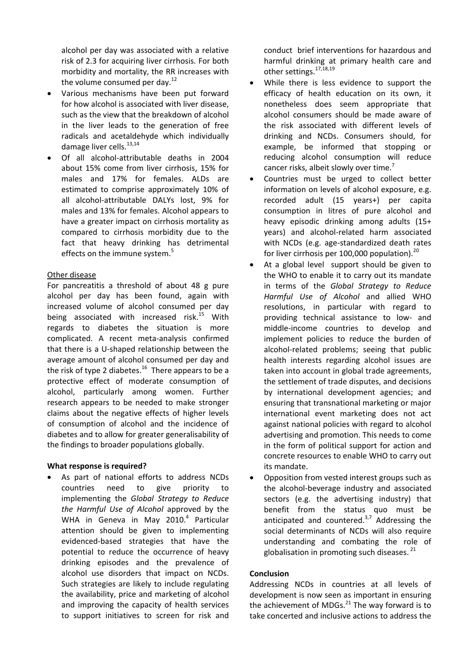alcohol per day was associated with a relative risk of 2.3 for acquiring liver cirrhosis. For both morbidity and mortality, the RR increases with the volume consumed per day. $^{12}$ 

- Various mechanisms have been put forward for how alcohol is associated with liver disease, such as the view that the breakdown of alcohol in the liver leads to the generation of free radicals and acetaldehyde which individually damage liver cells.<sup>13,14</sup>
- Of all alcohol-attributable deaths in 2004 about 15% come from liver cirrhosis, 15% for males and 17% for females. ALDs are estimated to comprise approximately 10% of all alcohol-attributable DALYs lost, 9% for males and 13% for females. Alcohol appears to have a greater impact on cirrhosis mortality as compared to cirrhosis morbidity due to the fact that heavy drinking has detrimental effects on the immune system.<sup>5</sup>

## Other disease

For pancreatitis a threshold of about 48 g pure alcohol per day has been found, again with increased volume of alcohol consumed per day being associated with increased risk.<sup>15</sup> With regards to diabetes the situation is more complicated. A recent meta-analysis confirmed that there is a U-shaped relationship between the average amount of alcohol consumed per day and the risk of type 2 diabetes.<sup>16</sup> There appears to be a protective effect of moderate consumption of alcohol, particularly among women. Further research appears to be needed to make stronger claims about the negative effects of higher levels of consumption of alcohol and the incidence of diabetes and to allow for greater generalisability of the findings to broader populations globally.

## **What response is required?**

 As part of national efforts to address NCDs countries need to give priority to implementing the *Global Strategy to Reduce the Harmful Use of Alcohol* approved by the WHA in Geneva in May 2010.<sup>4</sup> Particular attention should be given to implementing evidenced-based strategies that have the potential to reduce the occurrence of heavy drinking episodes and the prevalence of alcohol use disorders that impact on NCDs. Such strategies are likely to include regulating the availability, price and marketing of alcohol and improving the capacity of health services to support initiatives to screen for risk and conduct brief interventions for hazardous and harmful drinking at primary health care and other settings.<sup>17,18,19</sup>

- While there is less evidence to support the efficacy of health education on its own, it nonetheless does seem appropriate that alcohol consumers should be made aware of the risk associated with different levels of drinking and NCDs. Consumers should, for example, be informed that stopping or reducing alcohol consumption will reduce cancer risks, albeit slowly over time.<sup>7</sup>
- Countries must be urged to collect better information on levels of alcohol exposure, e.g. recorded adult (15 years+) per capita consumption in litres of pure alcohol and heavy episodic drinking among adults (15+ years) and alcohol-related harm associated with NCDs (e.g. age-standardized death rates for liver cirrhosis per 100,000 population). $^{20}$
- At a global level support should be given to the WHO to enable it to carry out its mandate in terms of the *Global Strategy to Reduce Harmful Use of Alcohol* and allied WHO resolutions, in particular with regard to providing technical assistance to low- and middle-income countries to develop and implement policies to reduce the burden of alcohol-related problems; seeing that public health interests regarding alcohol issues are taken into account in global trade agreements, the settlement of trade disputes, and decisions by international development agencies; and ensuring that transnational marketing or major international event marketing does not act against national policies with regard to alcohol advertising and promotion. This needs to come in the form of political support for action and concrete resources to enable WHO to carry out its mandate.
- Opposition from vested interest groups such as the alcohol-beverage industry and associated sectors (e.g. the advertising industry) that benefit from the status quo must be anticipated and countered.<sup>3,7</sup> Addressing the social determinants of NCDs will also require understanding and combating the role of globalisation in promoting such diseases.<sup>21</sup>

# **Conclusion**

Addressing NCDs in countries at all levels of development is now seen as important in ensuring the achievement of MDGs. $^{21}$  The way forward is to take concerted and inclusive actions to address the